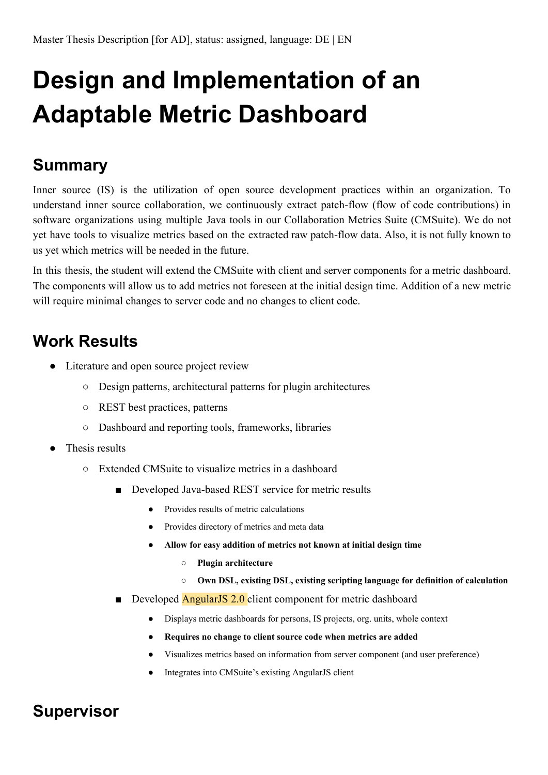## **Design and Implementation of an Adaptable Metric Dashboard**

## **Summary**

Inner source (IS) is the utilization of open source development practices within an organization. To understand inner source collaboration, we continuously extract patch-flow (flow of code contributions) in software organizations using multiple Java tools in our Collaboration Metrics Suite (CMSuite). We do not yet have tools to visualize metrics based on the extracted raw patch-flow data. Also, it is not fully known to us yet which metrics will be needed in the future.

In this thesis, the student will extend the CMSuite with client and server components for a metric dashboard. The components will allow us to add metrics not foreseen at the initial design time. Addition of a new metric will require minimal changes to server code and no changes to client code.

## **Work Results**

- Literature and open source project review
	- Design patterns, architectural patterns for plugin architectures
	- REST best practices, patterns
	- Dashboard and reporting tools, frameworks, libraries
- Thesis results
	- Extended CMSuite to visualize metrics in a dashboard
		- Developed Java-based REST service for metric results
			- Provides results of metric calculations
			- Provides directory of metrics and meta data
			- **● Allow for easy addition of metrics not known at initial design time**
				- **○ Plugin architecture**
				- **○ Own DSL, existing DSL, existing scripting language for definition of calculation**
		- Developed **AngularJS 2.0** client component for metric dashboard
			- Displays metric dashboards for persons, IS projects, org. units, whole context
			- **● Requires no change to client source code when metrics are added**
			- Visualizes metrics based on information from server component (and user preference)
			- Integrates into CMSuite's existing AngularJS client

## **Supervisor**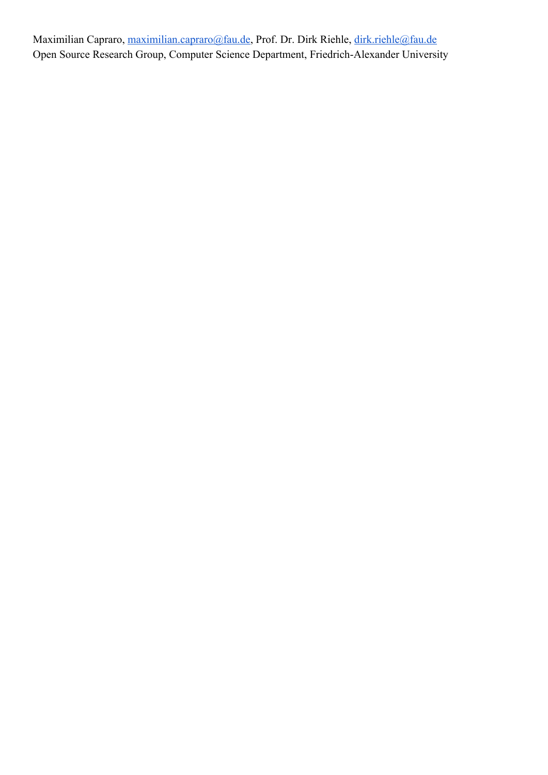Maximilian Capraro, [maximilian.capraro@fau.de,](mailto:maximilian.capraro@fau.de) Prof. Dr. Dirk Riehle, [dirk.riehle@fau.de](mailto:dirk.riehle@fau.de) Open Source Research Group, Computer Science Department, Friedrich-Alexander University